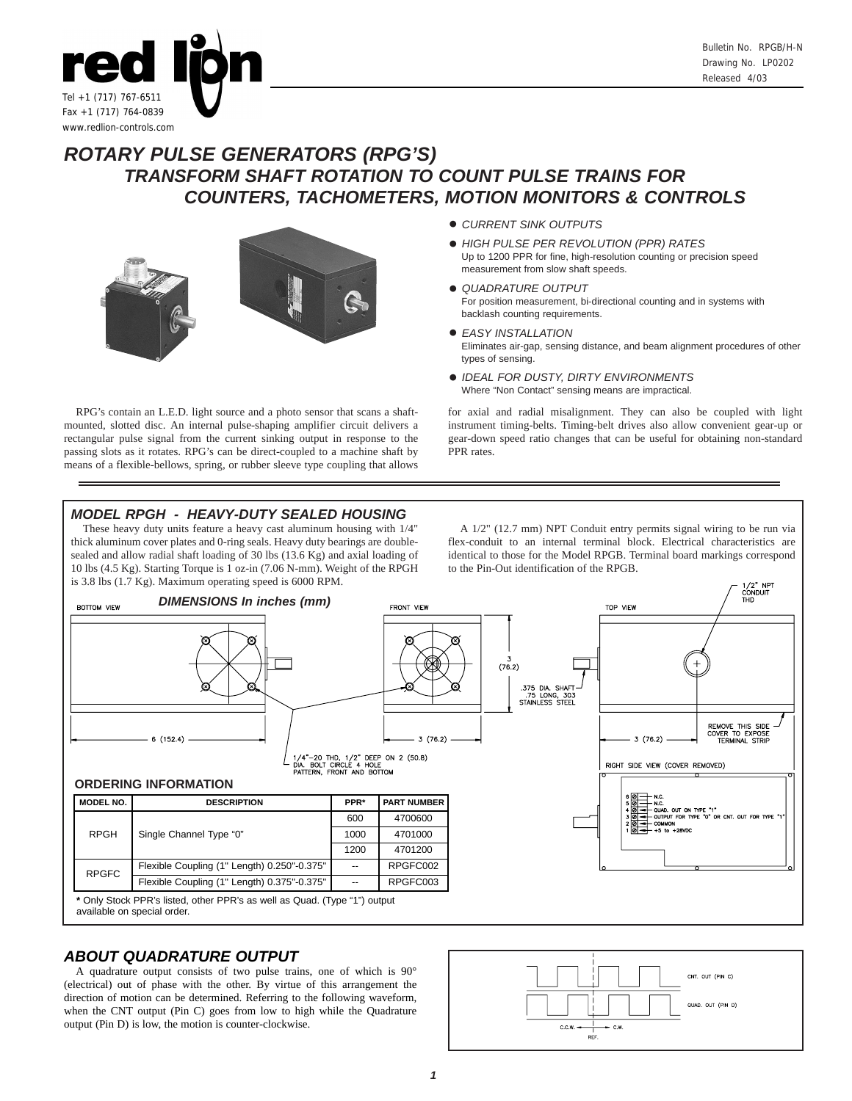

# *ROTARY PULSE GENERATORS (RPG'S) TRANSFORM SHAFT ROTATION TO COUNT PULSE TRAINS FOR COUNTERS, TACHOMETERS, MOTION MONITORS & CONTROLS*



- ! *CURRENT SINK OUTPUTS*
- ! *HIGH PULSE PER REVOLUTION (PPR) RATES* Up to 1200 PPR for fine, high-resolution counting or precision speed measurement from slow shaft speeds.
- ! *QUADRATURE OUTPUT* For position measurement, bi-directional counting and in systems with backlash counting requirements.
- ! *EASY INSTALLATION* Eliminates air-gap, sensing distance, and beam alignment procedures of other types of sensing.
- ! *IDEAL FOR DUSTY, DIRTY ENVIRONMENTS* Where "Non Contact" sensing means are impractical.

RPG's contain an L.E.D. light source and a photo sensor that scans a shaftmounted, slotted disc. An internal pulse-shaping amplifier circuit delivers a rectangular pulse signal from the current sinking output in response to the passing slots as it rotates. RPG's can be direct-coupled to a machine shaft by means of a flexible-bellows, spring, or rubber sleeve type coupling that allows PPR rates.

## for axial and radial misalignment. They can also be coupled with light instrument timing-belts. Timing-belt drives also allow convenient gear-up or gear-down speed ratio changes that can be useful for obtaining non-standard

## *MODEL RPGH - HEAVY-DUTY SEALED HOUSING*

These heavy duty units feature a heavy cast aluminum housing with 1/4" thick aluminum cover plates and 0-ring seals. Heavy duty bearings are doublesealed and allow radial shaft loading of 30 lbs (13.6 Kg) and axial loading of 10 lbs (4.5 Kg). Starting Torque is 1 oz-in (7.06 N-mm). Weight of the RPGH is 3.8 lbs (1.7 Kg). Maximum operating speed is 6000 RPM.

A 1/2" (12.7 mm) NPT Conduit entry permits signal wiring to be run via flex-conduit to an internal terminal block. Electrical characteristics are identical to those for the Model RPGB. Terminal board markings correspond to the Pin-Out identification of the RPGB.



## *ABOUT QUADRATURE OUTPUT*

A quadrature output consists of two pulse trains, one of which is 90° (electrical) out of phase with the other. By virtue of this arrangement the direction of motion can be determined. Referring to the following waveform, when the CNT output (Pin C) goes from low to high while the Quadrature output (Pin D) is low, the motion is counter-clockwise.

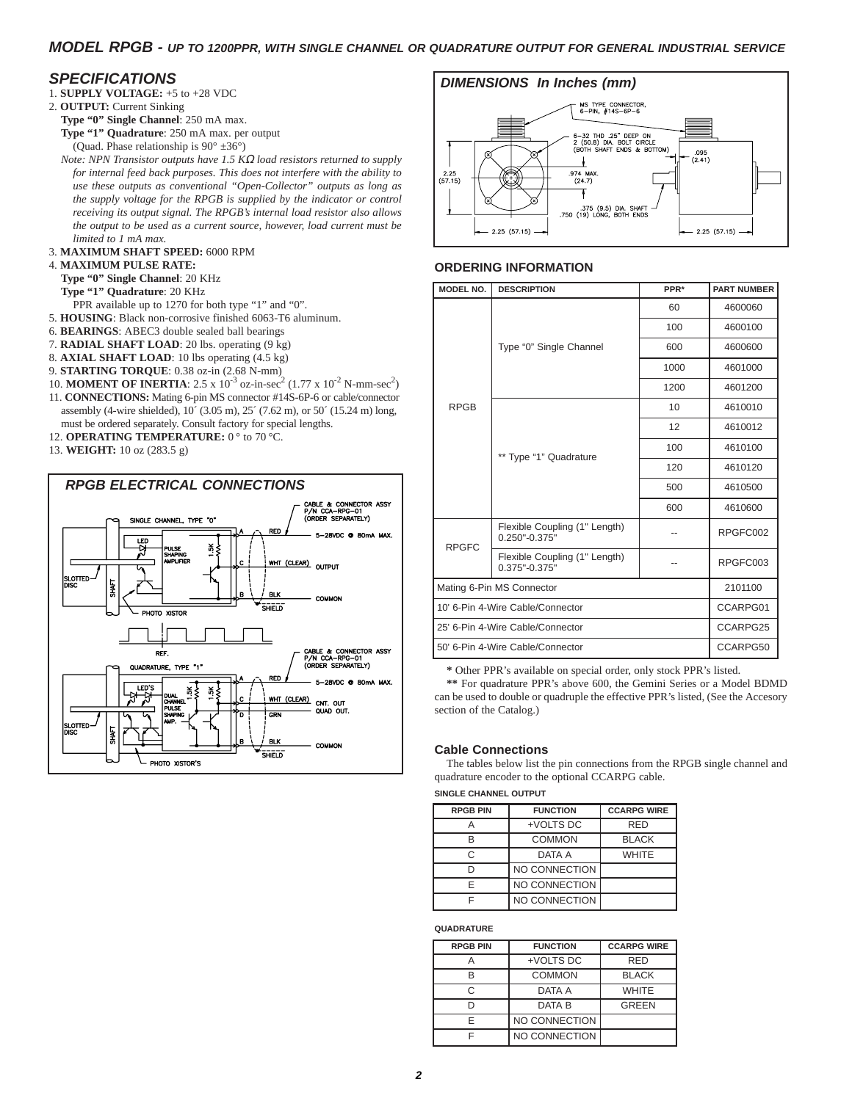## *MODEL RPGB - UP TO 1200PPR, WITH SINGLE CHANNEL OR QUADRATURE OUTPUT FOR GENERAL INDUSTRIAL SERVICE*

- 
- 2. **OUTPUT:** Current Sinking **Type "0" Single Channel**: 250 mA max.
	- **Type "1" Quadrature**: 250 mA max. per output
	- (Quad. Phase relationship is 90° ±36°)
	- *Note: NPN Transistor outputs have 1.5 K*<sup>Ω</sup> *load resistors returned to supply for internal feed back purposes. This does not interfere with the ability to use these outputs as conventional "Open-Collector" outputs as long as the supply voltage for the RPGB is supplied by the indicator or control receiving its output signal. The RPGB's internal load resistor also allows the output to be used as a current source, however, load current must be limited to 1 mA max.*
- 3. **MAXIMUM SHAFT SPEED:** 6000 RPM

#### 4. **MAXIMUM PULSE RATE:**

- **Type "0" Single Channel**: 20 KHz
- **Type "1" Quadrature**: 20 KHz
- PPR available up to 1270 for both type "1" and "0".
- 5. **HOUSING**: Black non-corrosive finished 6063-T6 aluminum.
- 6. **BEARINGS**: ABEC3 double sealed ball bearings
- 7. **RADIAL SHAFT LOAD**: 20 lbs. operating (9 kg)
- 8. **AXIAL SHAFT LOAD**: 10 lbs operating (4.5 kg)
- 9. **STARTING TORQUE**: 0.38 oz-in (2.68 N-mm)
- 10. **MOMENT OF INERTIA**: 2.5 x 10<sup>-3</sup> oz-in-sec<sup>2</sup> (1.77 x 10<sup>-2</sup> N-mm-sec<sup>2</sup>) 11. **CONNECTIONS:** Mating 6-pin MS connector #14S-6P-6 or cable/connector assembly (4-wire shielded), 10´ (3.05 m), 25´ (7.62 m), or 50´ (15.24 m) long, must be ordered separately. Consult factory for special lengths.
- 12. **OPERATING TEMPERATURE:** 0° to 70 °C.
- 13. **WEIGHT:** 10 oz (283.5 g)





### **ORDERING INFORMATION**

| MODEL NO.                        | <b>DESCRIPTION</b>                                 | PPR*     | <b>PART NUMBER</b> |
|----------------------------------|----------------------------------------------------|----------|--------------------|
|                                  | Type "0" Single Channel                            | 60       | 4600060            |
|                                  |                                                    | 100      | 4600100            |
|                                  |                                                    | 600      | 4600600            |
|                                  |                                                    | 1000     | 4601000            |
|                                  |                                                    | 1200     | 4601200            |
| <b>RPGB</b>                      | ** Type "1" Quadrature                             | 10       | 4610010            |
|                                  |                                                    | 12       | 4610012            |
|                                  |                                                    | 100      | 4610100            |
|                                  |                                                    | 120      | 4610120            |
|                                  |                                                    | 500      | 4610500            |
|                                  |                                                    | 600      | 4610600            |
| <b>RPGFC</b>                     | Flexible Coupling (1" Length)<br>$0.250" - 0.375"$ |          | RPGFC002           |
|                                  | Flexible Coupling (1" Length)<br>$0.375" - 0.375"$ |          | RPGFC003           |
| Mating 6-Pin MS Connector        |                                                    |          | 2101100            |
| 10' 6-Pin 4-Wire Cable/Connector |                                                    | CCARPG01 |                    |
| 25' 6-Pin 4-Wire Cable/Connector |                                                    |          | CCARPG25           |
| 50' 6-Pin 4-Wire Cable/Connector |                                                    |          | CCARPG50           |

**\*** Other PPR's available on special order, only stock PPR's listed.

**\*\*** For quadrature PPR's above 600, the Gemini Series or a Model BDMD can be used to double or quadruple the effective PPR's listed, (See the Accesory section of the Catalog.)

### **Cable Connections**

The tables below list the pin connections from the RPGB single channel and quadrature encoder to the optional CCARPG cable.

#### **SINGLE CHANNEL OUTPUT**

| <b>RPGB PIN</b> | <b>FUNCTION</b>      | <b>CCARPG WIRE</b> |  |
|-----------------|----------------------|--------------------|--|
|                 | +VOLTS DC            | <b>RED</b>         |  |
| R               | <b>COMMON</b>        | <b>BLACK</b>       |  |
| C               | DATA A               | <b>WHITE</b>       |  |
|                 | NO CONNECTION        |                    |  |
| F               | <b>NO CONNECTION</b> |                    |  |
|                 | <b>NO CONNECTION</b> |                    |  |

#### **QUADRATURE**

| <b>RPGB PIN</b> | <b>FUNCTION</b> | <b>CCARPG WIRE</b> |
|-----------------|-----------------|--------------------|
|                 | +VOLTS DC       | <b>RFD</b>         |
| R               | <b>COMMON</b>   | <b>BLACK</b>       |
| C               | DATA A          | <b>WHITE</b>       |
|                 | DATA B          | <b>GREEN</b>       |
| F               | NO CONNECTION   |                    |
|                 | NO CONNECTION   |                    |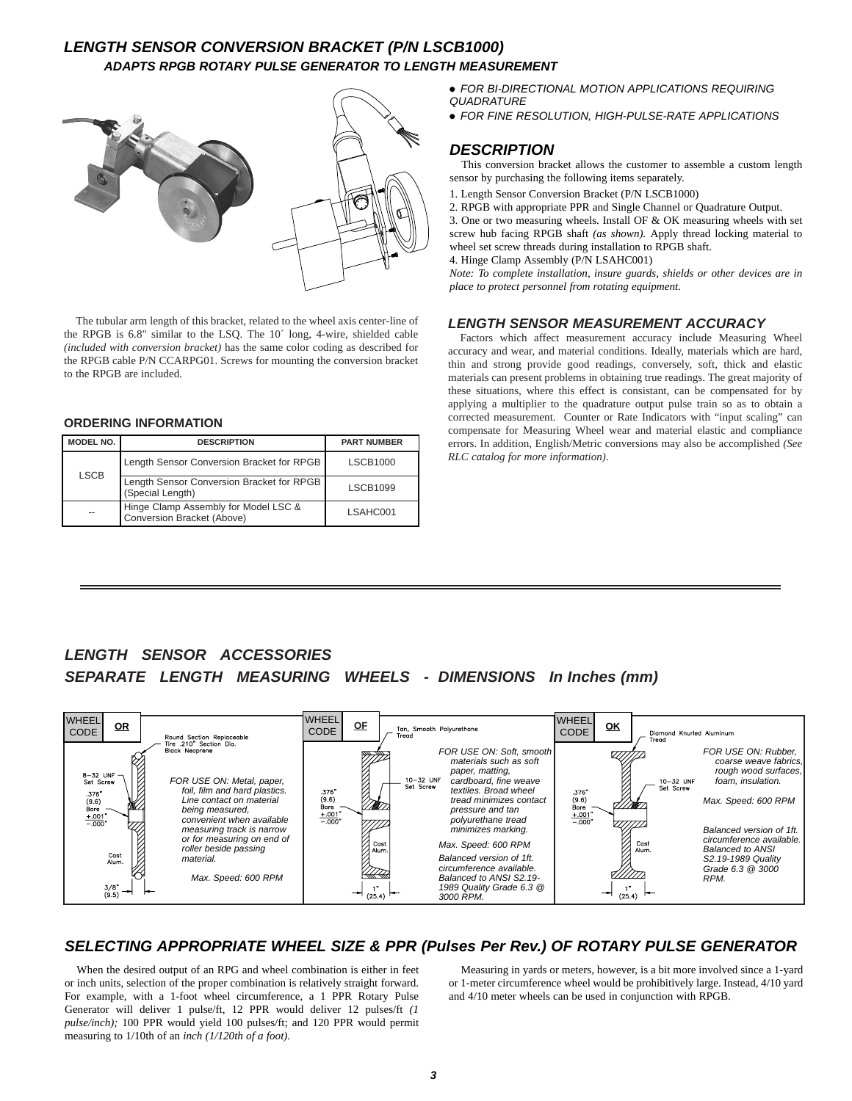## *LENGTH SENSOR CONVERSION BRACKET (P/N LSCB1000) ADAPTS RPGB ROTARY PULSE GENERATOR TO LENGTH MEASUREMENT*



The tubular arm length of this bracket, related to the wheel axis center-line of the RPGB is 6.8" similar to the LSQ. The 10´ long, 4-wire, shielded cable *(included with conversion bracket)* has the same color coding as described for the RPGB cable P/N CCARPG01. Screws for mounting the conversion bracket to the RPGB are included.

#### **ORDERING INFORMATION**

| MODEL NO.   | <b>DESCRIPTION</b>                                                 | <b>PART NUMBER</b> |
|-------------|--------------------------------------------------------------------|--------------------|
| <b>LSCB</b> | Length Sensor Conversion Bracket for RPGB                          | <b>LSCB1000</b>    |
|             | Length Sensor Conversion Bracket for RPGB<br>(Special Length)      | <b>LSCB1099</b>    |
| --          | Hinge Clamp Assembly for Model LSC &<br>Conversion Bracket (Above) | LSAHC001           |

! *FOR BI-DIRECTIONAL MOTION APPLICATIONS REQUIRING QUADRATURE*

! *FOR FINE RESOLUTION, HIGH-PULSE-RATE APPLICATIONS*

## *DESCRIPTION*

This conversion bracket allows the customer to assemble a custom length sensor by purchasing the following items separately.

- 1. Length Sensor Conversion Bracket (P/N LSCB1000)
- 2. RPGB with appropriate PPR and Single Channel or Quadrature Output.

3. One or two measuring wheels. Install OF & OK measuring wheels with set screw hub facing RPGB shaft *(as shown).* Apply thread locking material to wheel set screw threads during installation to RPGB shaft.

4. Hinge Clamp Assembly (P/N LSAHC001)

*Note: To complete installation, insure guards, shields or other devices are in place to protect personnel from rotating equipment.*

## *LENGTH SENSOR MEASUREMENT ACCURACY*

Factors which affect measurement accuracy include Measuring Wheel accuracy and wear, and material conditions. Ideally, materials which are hard, thin and strong provide good readings, conversely, soft, thick and elastic materials can present problems in obtaining true readings. The great majority of these situations, where this effect is consistant, can be compensated for by applying a multiplier to the quadrature output pulse train so as to obtain a corrected measurement. Counter or Rate Indicators with "input scaling" can compensate for Measuring Wheel wear and material elastic and compliance errors. In addition, English/Metric conversions may also be accomplished *(See RLC catalog for more information)*.

## *LENGTH SENSOR ACCESSORIES SEPARATE LENGTH MEASURING WHEELS - DIMENSIONS In Inches (mm)*



## *SELECTING APPROPRIATE WHEEL SIZE & PPR (Pulses Per Rev.) OF ROTARY PULSE GENERATOR*

When the desired output of an RPG and wheel combination is either in feet or inch units, selection of the proper combination is relatively straight forward. For example, with a 1-foot wheel circumference, a 1 PPR Rotary Pulse Generator will deliver 1 pulse/ft, 12 PPR would deliver 12 pulses/ft *(1 pulse/inch);* 100 PPR would yield 100 pulses/ft; and 120 PPR would permit measuring to 1/10th of an *inch (1/120th of a foot).*

Measuring in yards or meters, however, is a bit more involved since a 1-yard or 1-meter circumference wheel would be prohibitively large. Instead, 4/10 yard and 4/10 meter wheels can be used in conjunction with RPGB.